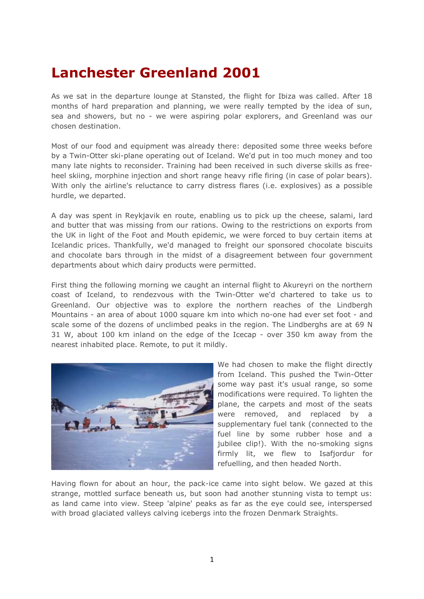## **Lanchester Greenland 2001**

As we sat in the departure lounge at Stansted, the flight for Ibiza was called. After 18 months of hard preparation and planning, we were really tempted by the idea of sun, sea and showers, but no - we were aspiring polar explorers, and Greenland was our chosen destination.

Most of our food and equipment was already there: deposited some three weeks before by a Twin-Otter ski-plane operating out of Iceland. We'd put in too much money and too many late nights to reconsider. Training had been received in such diverse skills as freeheel skiing, morphine injection and short range heavy rifle firing (in case of polar bears). With only the airline's reluctance to carry distress flares (i.e. explosives) as a possible hurdle, we departed.

A day was spent in Reykjavik en route, enabling us to pick up the cheese, salami, lard and butter that was missing from our rations. Owing to the restrictions on exports from the UK in light of the Foot and Mouth epidemic, we were forced to buy certain items at Icelandic prices. Thankfully, we'd managed to freight our sponsored chocolate biscuits and chocolate bars through in the midst of a disagreement between four government departments about which dairy products were permitted.

First thing the following morning we caught an internal flight to Akureyri on the northern coast of Iceland, to rendezvous with the Twin-Otter we'd chartered to take us to Greenland. Our objective was to explore the northern reaches of the Lindbergh Mountains - an area of about 1000 square km into which no-one had ever set foot - and scale some of the dozens of unclimbed peaks in the region. The Lindberghs are at 69 N 31 W, about 100 km inland on the edge of the Icecap - over 350 km away from the nearest inhabited place. Remote, to put it mildly.



We had chosen to make the flight directly from Iceland. This pushed the Twin-Otter some way past it's usual range, so some modifications were required. To lighten the plane, the carpets and most of the seats were removed, and replaced by a supplementary fuel tank (connected to the fuel line by some rubber hose and a jubilee clip!). With the no-smoking signs firmly lit, we flew to Isafjordur for refuelling, and then headed North.

Having flown for about an hour, the pack-ice came into sight below. We gazed at this strange, mottled surface beneath us, but soon had another stunning vista to tempt us: as land came into view. Steep 'alpine' peaks as far as the eye could see, interspersed with broad glaciated valleys calving icebergs into the frozen Denmark Straights.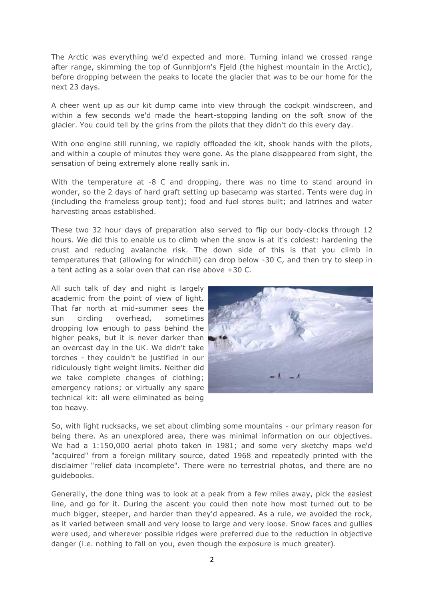The Arctic was everything we'd expected and more. Turning inland we crossed range after range, skimming the top of Gunnbjorn's Fjeld (the highest mountain in the Arctic), before dropping between the peaks to locate the glacier that was to be our home for the next 23 days.

A cheer went up as our kit dump came into view through the cockpit windscreen, and within a few seconds we'd made the heart-stopping landing on the soft snow of the glacier. You could tell by the grins from the pilots that they didn't do this every day.

With one engine still running, we rapidly offloaded the kit, shook hands with the pilots, and within a couple of minutes they were gone. As the plane disappeared from sight, the sensation of being extremely alone really sank in.

With the temperature at -8 C and dropping, there was no time to stand around in wonder, so the 2 days of hard graft setting up basecamp was started. Tents were dug in (including the frameless group tent); food and fuel stores built; and latrines and water harvesting areas established.

These two 32 hour days of preparation also served to flip our body-clocks through 12 hours. We did this to enable us to climb when the snow is at it's coldest: hardening the crust and reducing avalanche risk. The down side of this is that you climb in temperatures that (allowing for windchill) can drop below -30 C, and then try to sleep in a tent acting as a solar oven that can rise above +30 C.

All such talk of day and night is largely academic from the point of view of light. That far north at mid-summer sees the sun circling overhead, sometimes dropping low enough to pass behind the higher peaks, but it is never darker than an overcast day in the UK. We didn't take torches - they couldn't be justified in our ridiculously tight weight limits. Neither did we take complete changes of clothing; emergency rations; or virtually any spare technical kit: all were eliminated as being too heavy.



So, with light rucksacks, we set about climbing some mountains - our primary reason for being there. As an unexplored area, there was minimal information on our objectives. We had a 1:150,000 aerial photo taken in 1981; and some very sketchy maps we'd "acquired" from a foreign military source, dated 1968 and repeatedly printed with the disclaimer "relief data incomplete". There were no terrestrial photos, and there are no guidebooks.

Generally, the done thing was to look at a peak from a few miles away, pick the easiest line, and go for it. During the ascent you could then note how most turned out to be much bigger, steeper, and harder than they'd appeared. As a rule, we avoided the rock, as it varied between small and very loose to large and very loose. Snow faces and gullies were used, and wherever possible ridges were preferred due to the reduction in objective danger (i.e. nothing to fall on you, even though the exposure is much greater).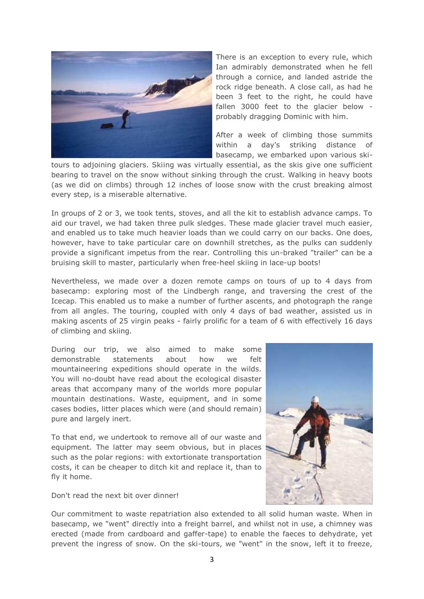

There is an exception to every rule, which Ian admirably demonstrated when he fell through a cornice, and landed astride the rock ridge beneath. A close call, as had he been 3 feet to the right, he could have fallen 3000 feet to the glacier below probably dragging Dominic with him.

After a week of climbing those summits within a day's striking distance of basecamp, we embarked upon various ski-

tours to adjoining glaciers. Skiing was virtually essential, as the skis give one sufficient bearing to travel on the snow without sinking through the crust. Walking in heavy boots (as we did on climbs) through 12 inches of loose snow with the crust breaking almost every step, is a miserable alternative.

In groups of 2 or 3, we took tents, stoves, and all the kit to establish advance camps. To aid our travel, we had taken three pulk sledges. These made glacier travel much easier, and enabled us to take much heavier loads than we could carry on our backs. One does, however, have to take particular care on downhill stretches, as the pulks can suddenly provide a significant impetus from the rear. Controlling this un-braked "trailer" can be a bruising skill to master, particularly when free-heel skiing in lace-up boots!

Nevertheless, we made over a dozen remote camps on tours of up to 4 days from basecamp: exploring most of the Lindbergh range, and traversing the crest of the Icecap. This enabled us to make a number of further ascents, and photograph the range from all angles. The touring, coupled with only 4 days of bad weather, assisted us in making ascents of 25 virgin peaks - fairly prolific for a team of 6 with effectively 16 days of climbing and skiing.

During our trip, we also aimed to make some demonstrable statements about how we felt mountaineering expeditions should operate in the wilds. You will no-doubt have read about the ecological disaster areas that accompany many of the worlds more popular mountain destinations. Waste, equipment, and in some cases bodies, litter places which were (and should remain) pure and largely inert.

To that end, we undertook to remove all of our waste and equipment. The latter may seem obvious, but in places such as the polar regions: with extortionate transportation costs, it can be cheaper to ditch kit and replace it, than to fly it home.

Don't read the next bit over dinner!



Our commitment to waste repatriation also extended to all solid human waste. When in basecamp, we "went" directly into a freight barrel, and whilst not in use, a chimney was erected (made from cardboard and gaffer-tape) to enable the faeces to dehydrate, yet prevent the ingress of snow. On the ski-tours, we "went" in the snow, left it to freeze,